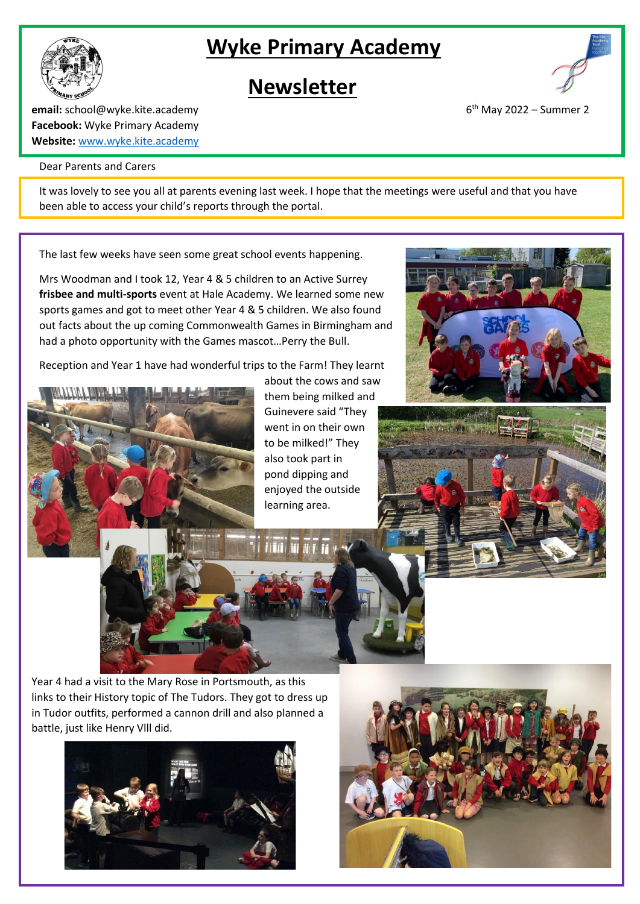# **Wyke Primary Academy**





 $6<sup>th</sup>$  May 2022 – Summer 2

**email:** school@wyke.kite.academy 6 **Facebook:** Wyke Primary Academy **Website:** [www.wyke.kite.academy](http://www.wyke.kite.academy/)

#### Dear Parents and Carers

It was lovely to see you all at parents evening last week. I hope that the meetings were useful and that you have been able to access your child's reports through the portal.

The last few weeks have seen some great school events happening.

Mrs Woodman and I took 12, Year 4 & 5 children to an Active Surrey **frisbee and multi-sports** event at Hale Academy. We learned some new sports games and got to meet other Year 4 & 5 children. We also found out facts about the up coming Commonwealth Games in Birmingham and had a photo opportunity with the Games mascot…Perry the Bull.

Reception and Year 1 have had wonderful trips to the Farm! They learnt



about the cows and saw them being milked and Guinevere said "They went in on their own to be milked!" They also took part in pond dipping and enjoyed the outside learning area.





Year 4 had a visit to the Mary Rose in Portsmouth, as this links to their History topic of The Tudors. They got to dress up in Tudor outfits, performed a cannon drill and also planned a battle, just like Henry Vlll did.



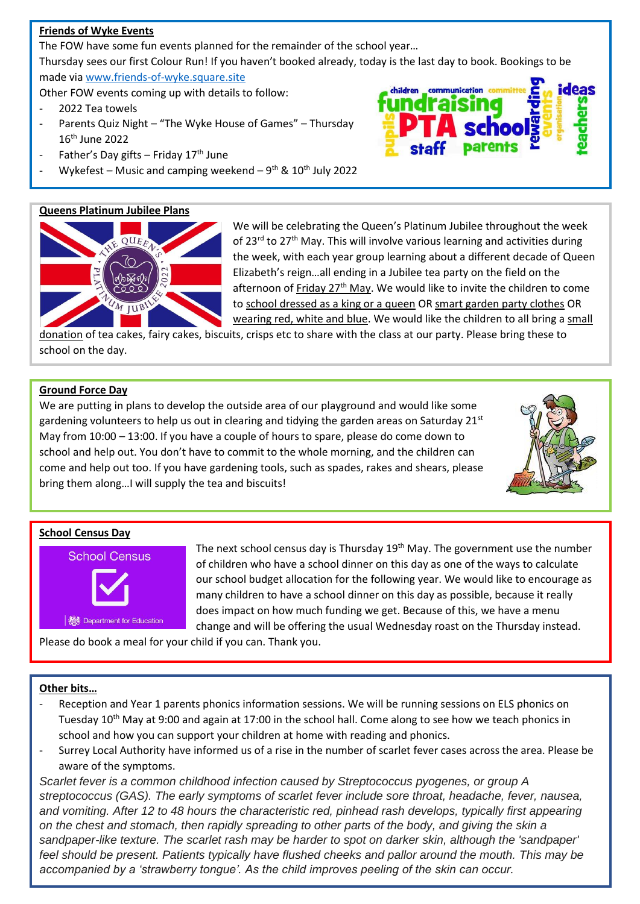## **Friends of Wyke Events**

The FOW have some fun events planned for the remainder of the school year…

Thursday sees our first Colour Run! If you haven't booked already, today is the last day to book. Bookings to be made vi[a www.friends-of-wyke.square.site](http://www.friends-of-wyke.square.site/)

Other FOW events coming up with details to follow:

- 2022 Tea towels
- Parents Quiz Night "The Wyke House of Games" Thursday 16th June 2022
- Father's Day gifts Friday 17<sup>th</sup> June
- Wykefest Music and camping weekend 9<sup>th</sup> & 10<sup>th</sup> July 2022

# **Queens Platinum Jubilee Plans**



We will be celebrating the Queen's Platinum Jubilee throughout the week of 23<sup>rd</sup> to 27<sup>th</sup> May. This will involve various learning and activities during the week, with each year group learning about a different decade of Queen Elizabeth's reign…all ending in a Jubilee tea party on the field on the afternoon of Friday 27<sup>th</sup> May. We would like to invite the children to come to school dressed as a king or a queen OR smart garden party clothes OR wearing red, white and blue. We would like the children to all bring a small

children

donation of tea cakes, fairy cakes, biscuits, crisps etc to share with the class at our party. Please bring these to school on the day.

### **Ground Force Day**

We are putting in plans to develop the outside area of our playground and would like some gardening volunteers to help us out in clearing and tidying the garden areas on Saturday  $21<sup>st</sup>$ May from 10:00 – 13:00. If you have a couple of hours to spare, please do come down to school and help out. You don't have to commit to the whole morning, and the children can come and help out too. If you have gardening tools, such as spades, rakes and shears, please bring them along…I will supply the tea and biscuits!



ideas

#### **School Census Day**



The next school census day is Thursday 19<sup>th</sup> May. The government use the number of children who have a school dinner on this day as one of the ways to calculate our school budget allocation for the following year. We would like to encourage as many children to have a school dinner on this day as possible, because it really does impact on how much funding we get. Because of this, we have a menu change and will be offering the usual Wednesday roast on the Thursday instead.

Please do book a meal for your child if you can. Thank you.

### **Other bits…**

- Reception and Year 1 parents phonics information sessions. We will be running sessions on ELS phonics on Tuesday 10th May at 9:00 and again at 17:00 in the school hall. Come along to see how we teach phonics in school and how you can support your children at home with reading and phonics.
- Surrey Local Authority have informed us of a rise in the number of scarlet fever cases across the area. Please be aware of the symptoms.

*Scarlet fever is a common childhood infection caused by Streptococcus pyogenes, or group A streptococcus (GAS). The early symptoms of scarlet fever include sore throat, headache, fever, nausea, and vomiting. After 12 to 48 hours the characteristic red, pinhead rash develops, typically first appearing on the chest and stomach, then rapidly spreading to other parts of the body, and giving the skin a sandpaper-like texture. The scarlet rash may be harder to spot on darker skin, although the 'sandpaper' feel should be present. Patients typically have flushed cheeks and pallor around the mouth. This may be accompanied by a 'strawberry tongue'. As the child improves peeling of the skin can occur.*